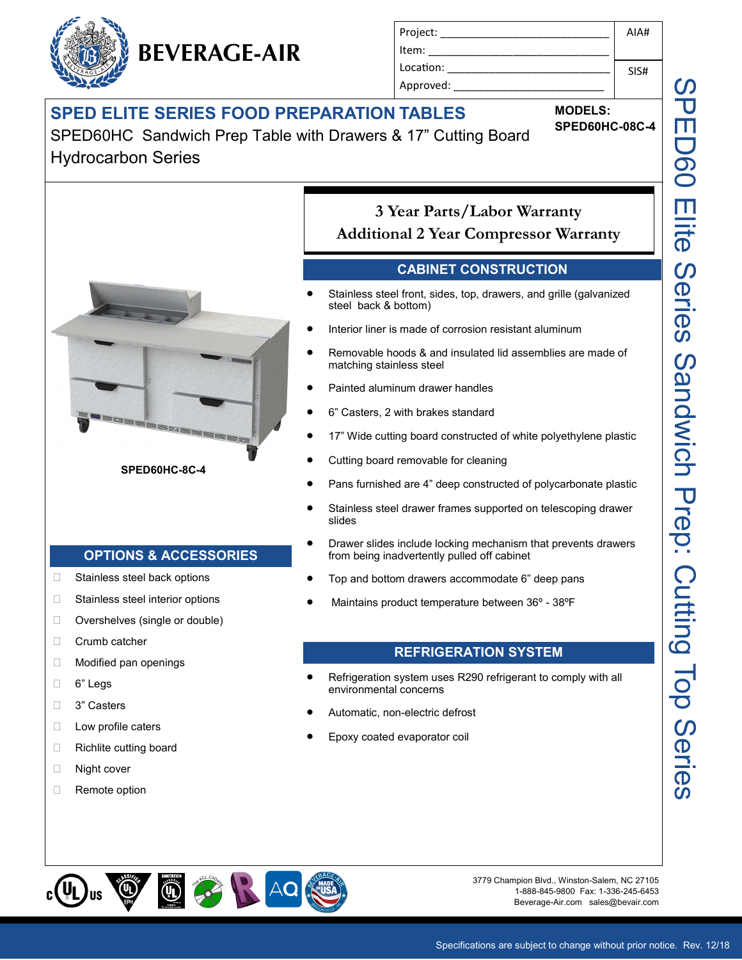# **SPED ELITE SERIES FOOD PREPARATION TABLES**

**BEVERAGE-AIR**

SPED60HC Sandwich Prep Table with Drawers & 17" Cutting Board Hydrocarbon Series



#### **SPED60HC-8C-4**

**OPTIONS & ACCESSORIES**

□ Stainless steel back options □ Stainless steel interior options □ Overshelves (single or double)

Crumb catcher

D Low profile caters □ Richlite cutting board

□ Night cover □ Remote option

 6" Legs **3**" Casters

□ Modified pan openings

Project: \_\_\_\_\_\_\_\_\_\_\_\_\_\_\_\_\_\_\_\_\_\_\_\_\_\_\_\_ Item: Location: Approved: AIA# SIS#

#### **MODELS: SPED60HC-08C-4**

**3 Year Parts/Labor Warranty Additional 2 Year Compressor Warranty**

## **CABINET CONSTRUCTION**

- Stainless steel front, sides, top, drawers, and grille (galvanized steel back & bottom)
- Interior liner is made of corrosion resistant aluminum
- Removable hoods & and insulated lid assemblies are made of matching stainless steel
- Painted aluminum drawer handles
- 6" Casters, 2 with brakes standard
- 17" Wide cutting board constructed of white polyethylene plastic
- Cutting board removable for cleaning
- Pans furnished are 4" deep constructed of polycarbonate plastic
- Stainless steel drawer frames supported on telescoping drawer slides
- Drawer slides include locking mechanism that prevents drawers from being inadvertently pulled off cabinet
- Top and bottom drawers accommodate 6" deep pans
- Maintains product temperature between 36º 38ºF

### **REFRIGERATION SYSTEM**

- Refrigeration system uses R290 refrigerant to comply with all environmental concerns
- Automatic, non-electric defrost
- Epoxy coated evaporator coil



3779 Champion Blvd., Winston-Salem, NC 27105 1-888-845-9800 Fax: 1-336-245-6453 Beverage-Air.com sales@bevair.com